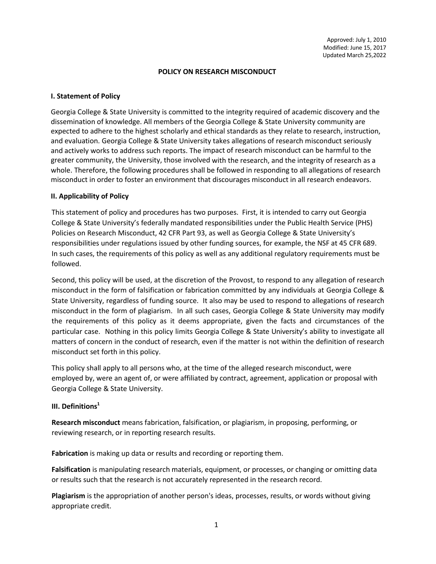#### **POLICY ON RESEARCH MISCONDUCT**

### **I. Statement of Policy**

Georgia College & State University is committed to the integrity required of academic discovery and the dissemination of knowledge. All members of the Georgia College & State University community are expected to adhere to the highest scholarly and ethical standards as they relate to research, instruction, and evaluation. Georgia College & State University takes allegations of research misconduct seriously and actively works to address such reports. The impact of research misconduct can be harmful to the greater community, the University, those involved with the research, and the integrity of research as a whole. Therefore, the following procedures shall be followed in responding to all allegations of research misconduct in order to foster an environment that discourages misconduct in all research endeavors.

#### **II. Applicability of Policy**

This statement of policy and procedures has two purposes. First, it is intended to carry out Georgia College & State University's federally mandated responsibilities under the Public Health Service (PHS) Policies on Research Misconduct, 42 CFR Part 93, as well as Georgia College & State University's responsibilities under regulations issued by other funding sources, for example, the NSF at 45 CFR 689. In such cases, the requirements of this policy as well as any additional regulatory requirements must be followed.

Second, this policy will be used, at the discretion of the Provost, to respond to any allegation of research misconduct in the form of falsification or fabrication committed by any individuals at Georgia College & State University, regardless of funding source. It also may be used to respond to allegations of research misconduct in the form of plagiarism. In all such cases, Georgia College & State University may modify the requirements of this policy as it deems appropriate, given the facts and circumstances of the particular case. Nothing in this policy limits Georgia College & State University's ability to investigate all matters of concern in the conduct of research, even if the matter is not within the definition of research misconduct set forth in this policy.

This policy shall apply to all persons who, at the time of the alleged research misconduct, were employed by, were an agent of, or were affiliated by contract, agreement, application or proposal with Georgia College & State University.

#### **III.** Definitions<sup>1</sup>

**Research misconduct** means fabrication, falsification, or plagiarism, in proposing, performing, or reviewing research, or in reporting research results.

**Fabrication** is making up data or results and recording or reporting them.

**Falsification** is manipulating research materials, equipment, or processes, or changing or omitting data or results such that the research is not accurately represented in the research record.

**Plagiarism** is the appropriation of another person's ideas, processes, results, or words without giving appropriate credit.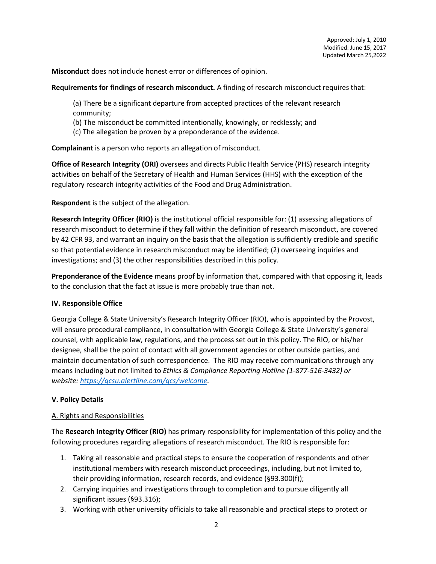**Misconduct** does not include honest error or differences of opinion.

#### **Requirements for findings of research misconduct.** A finding of research misconduct requires that:

(a) There be a significant departure from accepted practices of the relevant research community;

- (b) The misconduct be committed intentionally, knowingly, or recklessly; and
- (c) The allegation be proven by a preponderance of the evidence.

**Complainant** is a person who reports an allegation of misconduct.

**Office of Research Integrity (ORI)** oversees and directs Public Health Service (PHS) research integrity activities on behalf of the Secretary of Health and Human Services (HHS) with the exception of the regulatory research integrity activities of the Food and Drug Administration.

**Respondent** is the subject of the allegation.

**Research Integrity Officer (RIO)** is the institutional official responsible for: (1) assessing allegations of research misconduct to determine if they fall within the definition of research misconduct, are covered by 42 CFR 93, and warrant an inquiry on the basis that the allegation is sufficiently credible and specific so that potential evidence in research misconduct may be identified; (2) overseeing inquiries and investigations; and (3) the other responsibilities described in this policy.

**Preponderance of the Evidence** means proof by information that, compared with that opposing it, leads to the conclusion that the fact at issue is more probably true than not.

### **IV. Responsible Office**

Georgia College & State University's Research Integrity Officer (RIO), who is appointed by the Provost, will ensure procedural compliance, in consultation with Georgia College & State University's general counsel, with applicable law, regulations, and the process set out in this policy. The RIO, or his/her designee, shall be the point of contact with all government agencies or other outside parties, and maintain documentation of such correspondence. The RIO may receive communications through any means including but not limited to *Ethics & Compliance Reporting Hotline (1-877-516-3432) or website: https://gcsu.alertline.com/gcs/welcome.*

# **V. Policy Details**

### A. Rights and Responsibilities

The **Research Integrity Officer (RIO)** has primary responsibility for implementation of this policy and the following procedures regarding allegations of research misconduct. The RIO is responsible for:

- 1. Taking all reasonable and practical steps to ensure the cooperation of respondents and other institutional members with research misconduct proceedings, including, but not limited to, their providing information, research records, and evidence (§93.300(f));
- 2. Carrying inquiries and investigations through to completion and to pursue diligently all significant issues (§93.316);
- 3. Working with other university officials to take all reasonable and practical steps to protect or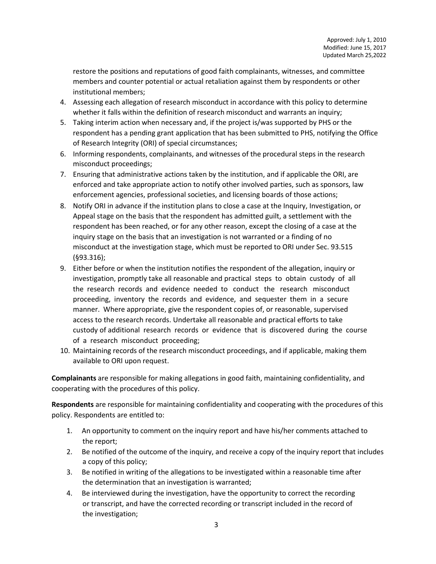restore the positions and reputations of good faith complainants, witnesses, and committee members and counter potential or actual retaliation against them by respondents or other institutional members;

- 4. Assessing each allegation of research misconduct in accordance with this policy to determine whether it falls within the definition of research misconduct and warrants an inquiry;
- 5. Taking interim action when necessary and, if the project is/was supported by PHS or the respondent has a pending grant application that has been submitted to PHS, notifying the Office of Research Integrity (ORI) of special circumstances;
- 6. Informing respondents, complainants, and witnesses of the procedural steps in the research misconduct proceedings;
- 7. Ensuring that administrative actions taken by the institution, and if applicable the ORI, are enforced and take appropriate action to notify other involved parties, such as sponsors, law enforcement agencies, professional societies, and licensing boards of those actions;
- 8. Notify ORI in advance if the institution plans to close a case at the Inquiry, Investigation, or Appeal stage on the basis that the respondent has admitted guilt, a settlement with the respondent has been reached, or for any other reason, except the closing of a case at the inquiry stage on the basis that an investigation is not warranted or a finding of no misconduct at the investigation stage, which must be reported to ORI under Sec. 93.515 (§93.316);
- 9. Either before or when the institution notifies the respondent of the allegation, inquiry or investigation, promptly take all reasonable and practical steps to obtain custody of all the research records and evidence needed to conduct the research misconduct proceeding, inventory the records and evidence, and sequester them in a secure manner. Where appropriate, give the respondent copies of, or reasonable, supervised access to the research records. Undertake all reasonable and practical efforts to take custody of additional research records or evidence that is discovered during the course of a research misconduct proceeding;
- 10. Maintaining records of the research misconduct proceedings, and if applicable, making them available to ORI upon request.

**Complainants** are responsible for making allegations in good faith, maintaining confidentiality, and cooperating with the procedures of this policy.

**Respondents** are responsible for maintaining confidentiality and cooperating with the procedures of this policy. Respondents are entitled to:

- 1. An opportunity to comment on the inquiry report and have his/her comments attached to the report;
- 2. Be notified of the outcome of the inquiry, and receive a copy of the inquiry report that includes a copy of this policy;
- 3. Be notified in writing of the allegations to be investigated within a reasonable time after the determination that an investigation is warranted;
- 4. Be interviewed during the investigation, have the opportunity to correct the recording or transcript, and have the corrected recording or transcript included in the record of the investigation;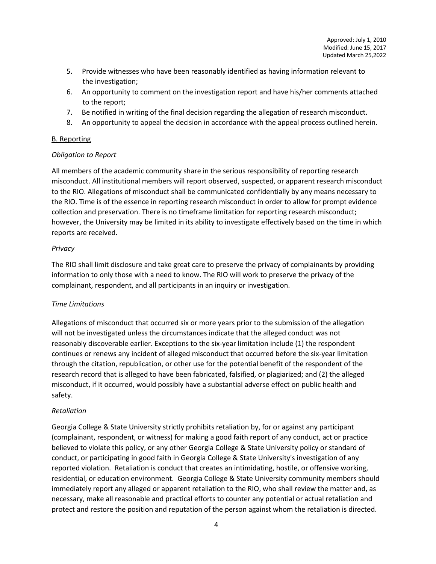- 5. Provide witnesses who have been reasonably identified as having information relevant to the investigation;
- 6. An opportunity to comment on the investigation report and have his/her comments attached to the report;
- 7. Be notified in writing of the final decision regarding the allegation of research misconduct.
- 8. An opportunity to appeal the decision in accordance with the appeal process outlined herein.

### B. Reporting

## *Obligation to Report*

All members of the academic community share in the serious responsibility of reporting research misconduct. All institutional members will report observed, suspected, or apparent research misconduct to the RIO. Allegations of misconduct shall be communicated confidentially by any means necessary to the RIO. Time is of the essence in reporting research misconduct in order to allow for prompt evidence collection and preservation. There is no timeframe limitation for reporting research misconduct; however, the University may be limited in its ability to investigate effectively based on the time in which reports are received.

## *Privacy*

The RIO shall limit disclosure and take great care to preserve the privacy of complainants by providing information to only those with a need to know. The RIO will work to preserve the privacy of the complainant, respondent, and all participants in an inquiry or investigation.

# *Time Limitations*

Allegations of misconduct that occurred six or more years prior to the submission of the allegation will not be investigated unless the circumstances indicate that the alleged conduct was not reasonably discoverable earlier. Exceptions to the six-year limitation include (1) the respondent continues or renews any incident of alleged misconduct that occurred before the six-year limitation through the citation, republication, or other use for the potential benefit of the respondent of the research record that is alleged to have been fabricated, falsified, or plagiarized; and (2) the alleged misconduct, if it occurred, would possibly have a substantial adverse effect on public health and safety.

# *Retaliation*

Georgia College & State University strictly prohibits retaliation by, for or against any participant (complainant, respondent, or witness) for making a good faith report of any conduct, act or practice believed to violate this policy, or any other Georgia College & State University policy or standard of conduct, or participating in good faith in Georgia College & State University's investigation of any reported violation. Retaliation is conduct that creates an intimidating, hostile, or offensive working, residential, or education environment. Georgia College & State University community members should immediately report any alleged or apparent retaliation to the RIO, who shall review the matter and, as necessary, make all reasonable and practical efforts to counter any potential or actual retaliation and protect and restore the position and reputation of the person against whom the retaliation is directed.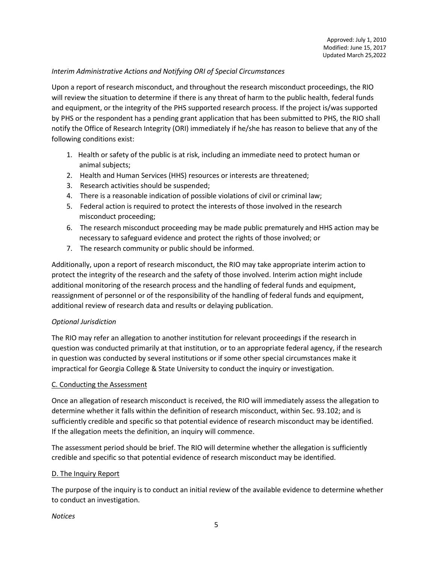### *Interim Administrative Actions and Notifying ORI of Special Circumstances*

Upon a report of research misconduct, and throughout the research misconduct proceedings, the RIO will review the situation to determine if there is any threat of harm to the public health, federal funds and equipment, or the integrity of the PHS supported research process. If the project is/was supported by PHS or the respondent has a pending grant application that has been submitted to PHS, the RIO shall notify the Office of Research Integrity (ORI) immediately if he/she has reason to believe that any of the following conditions exist:

- 1. Health or safety of the public is at risk, including an immediate need to protect human or animal subjects;
- 2. Health and Human Services (HHS) resources or interests are threatened;
- 3. Research activities should be suspended;
- 4. There is a reasonable indication of possible violations of civil or criminal law;
- 5. Federal action is required to protect the interests of those involved in the research misconduct proceeding;
- 6. The research misconduct proceeding may be made public prematurely and HHS action may be necessary to safeguard evidence and protect the rights of those involved; or
- 7. The research community or public should be informed.

Additionally, upon a report of research misconduct, the RIO may take appropriate interim action to protect the integrity of the research and the safety of those involved. Interim action might include additional monitoring of the research process and the handling of federal funds and equipment, reassignment of personnel or of the responsibility of the handling of federal funds and equipment, additional review of research data and results or delaying publication.

### *Optional Jurisdiction*

The RIO may refer an allegation to another institution for relevant proceedings if the research in question was conducted primarily at that institution, or to an appropriate federal agency, if the research in question was conducted by several institutions or if some other special circumstances make it impractical for Georgia College & State University to conduct the inquiry or investigation.

### C. Conducting the Assessment

Once an allegation of research misconduct is received, the RIO will immediately assess the allegation to determine whether it falls within the definition of research misconduct, within Sec. 93.102; and is sufficiently credible and specific so that potential evidence of research misconduct may be identified. If the allegation meets the definition, an inquiry will commence.

The assessment period should be brief. The RIO will determine whether the allegation is sufficiently credible and specific so that potential evidence of research misconduct may be identified.

### D. The Inquiry Report

The purpose of the inquiry is to conduct an initial review of the available evidence to determine whether to conduct an investigation.

#### *Notices*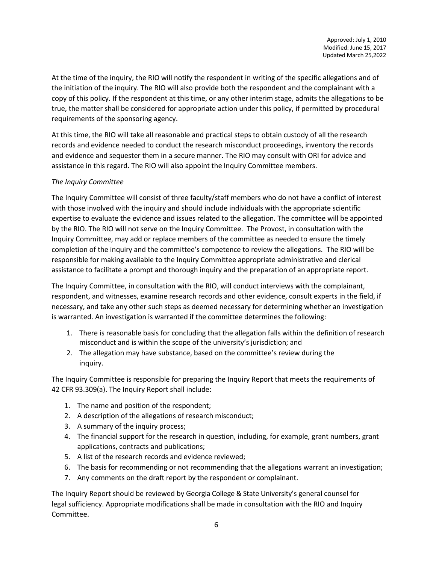At the time of the inquiry, the RIO will notify the respondent in writing of the specific allegations and of the initiation of the inquiry. The RIO will also provide both the respondent and the complainant with a copy of this policy. If the respondent at this time, or any other interim stage, admits the allegations to be true, the matter shall be considered for appropriate action under this policy, if permitted by procedural requirements of the sponsoring agency.

At this time, the RIO will take all reasonable and practical steps to obtain custody of all the research records and evidence needed to conduct the research misconduct proceedings, inventory the records and evidence and sequester them in a secure manner. The RIO may consult with ORI for advice and assistance in this regard. The RIO will also appoint the Inquiry Committee members.

## *The Inquiry Committee*

The Inquiry Committee will consist of three faculty/staff members who do not have a conflict of interest with those involved with the inquiry and should include individuals with the appropriate scientific expertise to evaluate the evidence and issues related to the allegation. The committee will be appointed by the RIO. The RIO will not serve on the Inquiry Committee. The Provost, in consultation with the Inquiry Committee, may add or replace members of the committee as needed to ensure the timely completion of the inquiry and the committee's competence to review the allegations. The RIO will be responsible for making available to the Inquiry Committee appropriate administrative and clerical assistance to facilitate a prompt and thorough inquiry and the preparation of an appropriate report.

The Inquiry Committee, in consultation with the RIO, will conduct interviews with the complainant, respondent, and witnesses, examine research records and other evidence, consult experts in the field, if necessary, and take any other such steps as deemed necessary for determining whether an investigation is warranted. An investigation is warranted if the committee determines the following:

- 1. There is reasonable basis for concluding that the allegation falls within the definition of research misconduct and is within the scope of the university's jurisdiction; and
- 2. The allegation may have substance, based on the committee's review during the inquiry.

The Inquiry Committee is responsible for preparing the Inquiry Report that meets the requirements of 42 CFR 93.309(a). The Inquiry Report shall include:

- 1. The name and position of the respondent;
- 2. A description of the allegations of research misconduct;
- 3. A summary of the inquiry process;
- 4. The financial support for the research in question, including, for example, grant numbers, grant applications, contracts and publications;
- 5. A list of the research records and evidence reviewed;
- 6. The basis for recommending or not recommending that the allegations warrant an investigation;
- 7. Any comments on the draft report by the respondent or complainant.

The Inquiry Report should be reviewed by Georgia College & State University's general counsel for legal sufficiency. Appropriate modifications shall be made in consultation with the RIO and Inquiry Committee.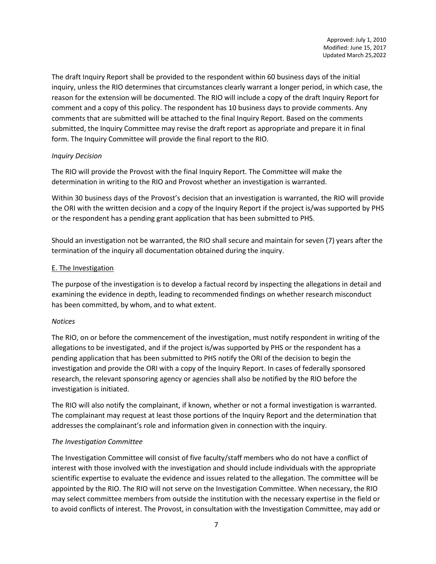The draft Inquiry Report shall be provided to the respondent within 60 business days of the initial inquiry, unless the RIO determines that circumstances clearly warrant a longer period, in which case, the reason for the extension will be documented. The RIO will include a copy of the draft Inquiry Report for comment and a copy of this policy. The respondent has 10 business days to provide comments. Any comments that are submitted will be attached to the final Inquiry Report. Based on the comments submitted, the Inquiry Committee may revise the draft report as appropriate and prepare it in final form. The Inquiry Committee will provide the final report to the RIO.

### *Inquiry Decision*

The RIO will provide the Provost with the final Inquiry Report. The Committee will make the determination in writing to the RIO and Provost whether an investigation is warranted.

Within 30 business days of the Provost's decision that an investigation is warranted, the RIO will provide the ORI with the written decision and a copy of the Inquiry Report if the project is/was supported by PHS or the respondent has a pending grant application that has been submitted to PHS.

Should an investigation not be warranted, the RIO shall secure and maintain for seven (7) years after the termination of the inquiry all documentation obtained during the inquiry.

# E. The Investigation

The purpose of the investigation is to develop a factual record by inspecting the allegations in detail and examining the evidence in depth, leading to recommended findings on whether research misconduct has been committed, by whom, and to what extent.

# *Notices*

The RIO, on or before the commencement of the investigation, must notify respondent in writing of the allegations to be investigated, and if the project is/was supported by PHS or the respondent has a pending application that has been submitted to PHS notify the ORI of the decision to begin the investigation and provide the ORI with a copy of the Inquiry Report. In cases of federally sponsored research, the relevant sponsoring agency or agencies shall also be notified by the RIO before the investigation is initiated.

The RIO will also notify the complainant, if known, whether or not a formal investigation is warranted. The complainant may request at least those portions of the Inquiry Report and the determination that addresses the complainant's role and information given in connection with the inquiry.

# *The Investigation Committee*

The Investigation Committee will consist of five faculty/staff members who do not have a conflict of interest with those involved with the investigation and should include individuals with the appropriate scientific expertise to evaluate the evidence and issues related to the allegation. The committee will be appointed by the RIO. The RIO will not serve on the Investigation Committee. When necessary, the RIO may select committee members from outside the institution with the necessary expertise in the field or to avoid conflicts of interest. The Provost, in consultation with the Investigation Committee, may add or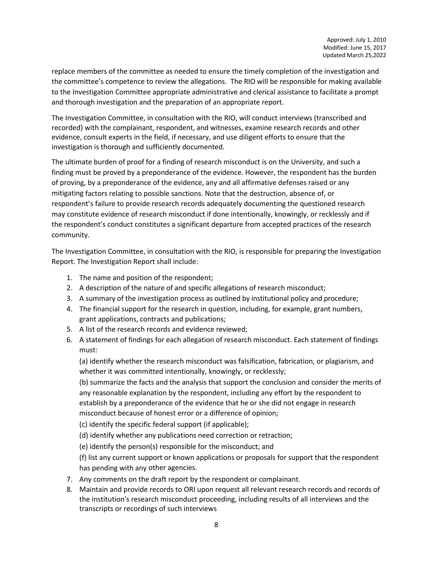replace members of the committee as needed to ensure the timely completion of the investigation and the committee's competence to review the allegations. The RIO will be responsible for making available to the Investigation Committee appropriate administrative and clerical assistance to facilitate a prompt and thorough investigation and the preparation of an appropriate report.

The Investigation Committee, in consultation with the RIO, will conduct interviews (transcribed and recorded) with the complainant, respondent, and witnesses, examine research records and other evidence, consult experts in the field, if necessary, and use diligent efforts to ensure that the investigation is thorough and sufficiently documented.

The ultimate burden of proof for a finding of research misconduct is on the University, and such a finding must be proved by a preponderance of the evidence. However, the respondent has the burden of proving, by a preponderance of the evidence, any and all affirmative defenses raised or any mitigating factors relating to possible sanctions. Note that the destruction, absence of, or respondent's failure to provide research records adequately documenting the questioned research may constitute evidence of research misconduct if done intentionally, knowingly, or recklessly and if the respondent's conduct constitutes a significant departure from accepted practices of the research community.

The Investigation Committee, in consultation with the RIO, is responsible for preparing the Investigation Report. The Investigation Report shall include:

- 1. The name and position of the respondent;
- 2. A description of the nature of and specific allegations of research misconduct;
- 3. A summary of the investigation process as outlined by institutional policy and procedure;
- 4. The financial support for the research in question, including, for example, grant numbers, grant applications, contracts and publications;
- 5. A list of the research records and evidence reviewed;
- 6. A statement of findings for each allegation of research misconduct. Each statement of findings must:

(a) identify whether the research misconduct was falsification, fabrication, or plagiarism, and whether it was committed intentionally, knowingly, or recklessly;

(b) summarize the facts and the analysis that support the conclusion and consider the merits of any reasonable explanation by the respondent, including any effort by the respondent to establish by a preponderance of the evidence that he or she did not engage in research misconduct because of honest error or a difference of opinion;

(c) identify the specific federal support (if applicable);

(d) identify whether any publications need correction or retraction;

(e) identify the person(s) responsible for the misconduct; and

(f) list any current support or known applications or proposals for support that the respondent has pending with any other agencies.

- 7. Any comments on the draft report by the respondent or complainant.
- 8. Maintain and provide records to ORI upon request all relevant research records and records of the institution's research misconduct proceeding, including results of all interviews and the transcripts or recordings of such interviews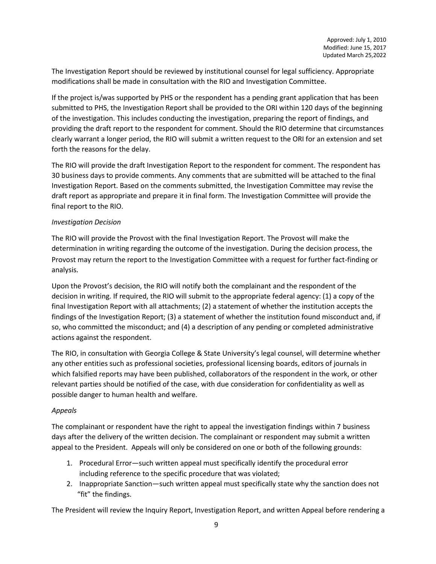The Investigation Report should be reviewed by institutional counsel for legal sufficiency. Appropriate modifications shall be made in consultation with the RIO and Investigation Committee.

If the project is/was supported by PHS or the respondent has a pending grant application that has been submitted to PHS, the Investigation Report shall be provided to the ORI within 120 days of the beginning of the investigation. This includes conducting the investigation, preparing the report of findings, and providing the draft report to the respondent for comment. Should the RIO determine that circumstances clearly warrant a longer period, the RIO will submit a written request to the ORI for an extension and set forth the reasons for the delay.

The RIO will provide the draft Investigation Report to the respondent for comment. The respondent has 30 business days to provide comments. Any comments that are submitted will be attached to the final Investigation Report. Based on the comments submitted, the Investigation Committee may revise the draft report as appropriate and prepare it in final form. The Investigation Committee will provide the final report to the RIO.

## *Investigation Decision*

The RIO will provide the Provost with the final Investigation Report. The Provost will make the determination in writing regarding the outcome of the investigation. During the decision process, the Provost may return the report to the Investigation Committee with a request for further fact-finding or analysis.

Upon the Provost's decision, the RIO will notify both the complainant and the respondent of the decision in writing. If required, the RIO will submit to the appropriate federal agency: (1) a copy of the final Investigation Report with all attachments; (2) a statement of whether the institution accepts the findings of the Investigation Report; (3) a statement of whether the institution found misconduct and, if so, who committed the misconduct; and (4) a description of any pending or completed administrative actions against the respondent.

The RIO, in consultation with Georgia College & State University's legal counsel, will determine whether any other entities such as professional societies, professional licensing boards, editors of journals in which falsified reports may have been published, collaborators of the respondent in the work, or other relevant parties should be notified of the case, with due consideration for confidentiality as well as possible danger to human health and welfare.

# *Appeals*

The complainant or respondent have the right to appeal the investigation findings within 7 business days after the delivery of the written decision. The complainant or respondent may submit a written appeal to the President. Appeals will only be considered on one or both of the following grounds:

- 1. Procedural Error—such written appeal must specifically identify the procedural error including reference to the specific procedure that was violated;
- 2. Inappropriate Sanction—such written appeal must specifically state why the sanction does not "fit" the findings.

The President will review the Inquiry Report, Investigation Report, and written Appeal before rendering a